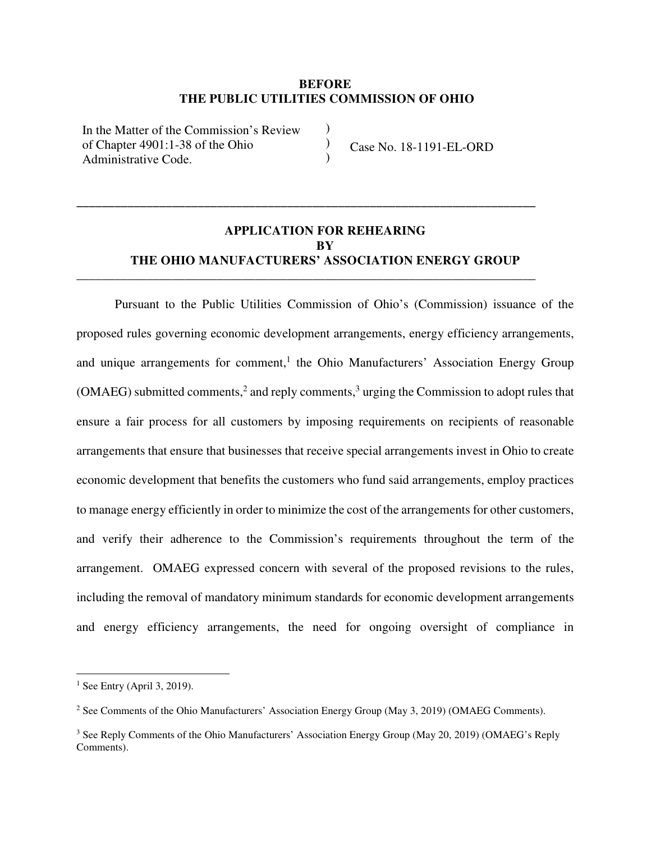## **BEFORE THE PUBLIC UTILITIES COMMISSION OF OHIO**

)  $\mathcal{L}$ )

In the Matter of the Commission's Review of Chapter 4901:1-38 of the Ohio Administrative Code.

Case No. 18-1191-EL-ORD

# **APPLICATION FOR REHEARING BY THE OHIO MANUFACTURERS' ASSOCIATION ENERGY GROUP**

**\_\_\_\_\_\_\_\_\_\_\_\_\_\_\_\_\_\_\_\_\_\_\_\_\_\_\_\_\_\_\_\_\_\_\_\_\_\_\_\_\_\_\_\_\_\_\_\_\_\_\_\_\_\_\_\_\_\_\_\_\_\_\_\_\_\_\_\_\_\_\_\_** 

\_\_\_\_\_\_\_\_\_\_\_\_\_\_\_\_\_\_\_\_\_\_\_\_\_\_\_\_\_\_\_\_\_\_\_\_\_\_\_\_\_\_\_\_\_\_\_\_\_\_\_\_\_\_\_\_\_\_\_\_\_\_\_\_\_\_\_\_\_\_\_\_

Pursuant to the Public Utilities Commission of Ohio's (Commission) issuance of the proposed rules governing economic development arrangements, energy efficiency arrangements, and unique arrangements for comment,<sup>1</sup> the Ohio Manufacturers' Association Energy Group (OMAEG) submitted comments,<sup>2</sup> and reply comments,<sup>3</sup> urging the Commission to adopt rules that ensure a fair process for all customers by imposing requirements on recipients of reasonable arrangements that ensure that businesses that receive special arrangements invest in Ohio to create economic development that benefits the customers who fund said arrangements, employ practices to manage energy efficiently in order to minimize the cost of the arrangements for other customers, and verify their adherence to the Commission's requirements throughout the term of the arrangement. OMAEG expressed concern with several of the proposed revisions to the rules, including the removal of mandatory minimum standards for economic development arrangements and energy efficiency arrangements, the need for ongoing oversight of compliance in

 $<sup>1</sup>$  See Entry (April 3, 2019).</sup>

<sup>&</sup>lt;sup>2</sup> See Comments of the Ohio Manufacturers' Association Energy Group (May 3, 2019) (OMAEG Comments).

<sup>&</sup>lt;sup>3</sup> See Reply Comments of the Ohio Manufacturers' Association Energy Group (May 20, 2019) (OMAEG's Reply Comments).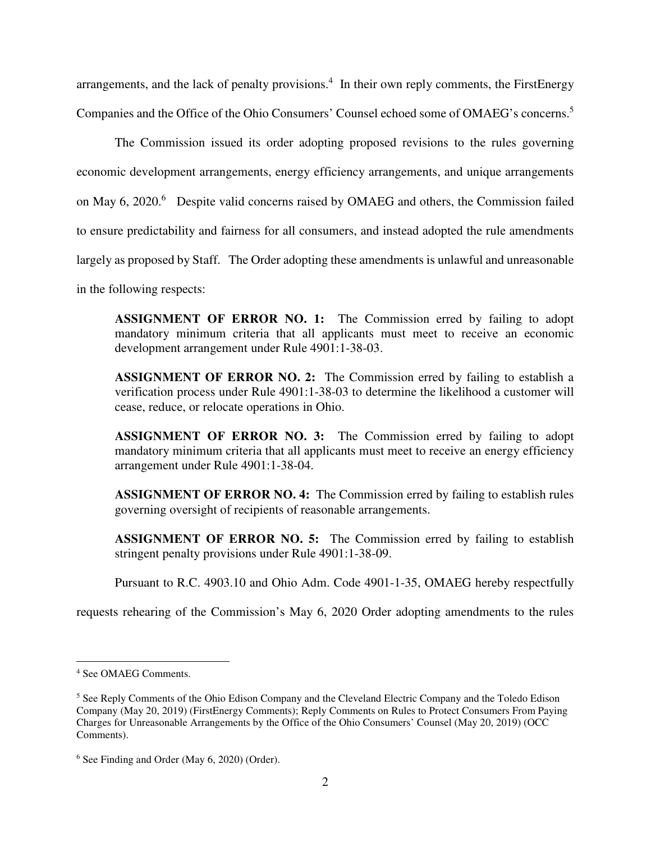arrangements, and the lack of penalty provisions.<sup>4</sup> In their own reply comments, the FirstEnergy Companies and the Office of the Ohio Consumers' Counsel echoed some of OMAEG's concerns.<sup>5</sup>

The Commission issued its order adopting proposed revisions to the rules governing economic development arrangements, energy efficiency arrangements, and unique arrangements on May 6, 2020.<sup>6</sup> Despite valid concerns raised by OMAEG and others, the Commission failed to ensure predictability and fairness for all consumers, and instead adopted the rule amendments largely as proposed by Staff. The Order adopting these amendments is unlawful and unreasonable

in the following respects:

**ASSIGNMENT OF ERROR NO. 1:** The Commission erred by failing to adopt mandatory minimum criteria that all applicants must meet to receive an economic development arrangement under Rule 4901:1-38-03.

**ASSIGNMENT OF ERROR NO. 2:** The Commission erred by failing to establish a verification process under Rule 4901:1-38-03 to determine the likelihood a customer will cease, reduce, or relocate operations in Ohio.

**ASSIGNMENT OF ERROR NO. 3:** The Commission erred by failing to adopt mandatory minimum criteria that all applicants must meet to receive an energy efficiency arrangement under Rule 4901:1-38-04.

**ASSIGNMENT OF ERROR NO. 4:** The Commission erred by failing to establish rules governing oversight of recipients of reasonable arrangements.

**ASSIGNMENT OF ERROR NO. 5:** The Commission erred by failing to establish stringent penalty provisions under Rule 4901:1-38-09.

Pursuant to R.C. 4903.10 and Ohio Adm. Code 4901-1-35, OMAEG hereby respectfully

requests rehearing of the Commission's May 6, 2020 Order adopting amendments to the rules

<sup>4</sup> See OMAEG Comments.

<sup>&</sup>lt;sup>5</sup> See Reply Comments of the Ohio Edison Company and the Cleveland Electric Company and the Toledo Edison Company (May 20, 2019) (FirstEnergy Comments); Reply Comments on Rules to Protect Consumers From Paying Charges for Unreasonable Arrangements by the Office of the Ohio Consumers' Counsel (May 20, 2019) (OCC Comments).

<sup>6</sup> See Finding and Order (May 6, 2020) (Order).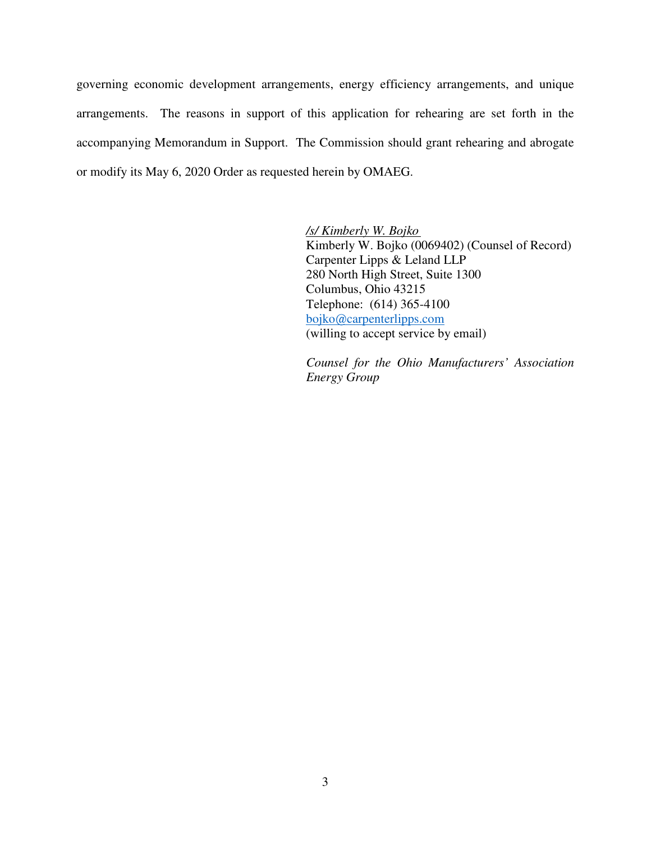governing economic development arrangements, energy efficiency arrangements, and unique arrangements. The reasons in support of this application for rehearing are set forth in the accompanying Memorandum in Support. The Commission should grant rehearing and abrogate or modify its May 6, 2020 Order as requested herein by OMAEG.

> */s/ Kimberly W. Bojko*  Kimberly W. Bojko (0069402) (Counsel of Record) Carpenter Lipps & Leland LLP 280 North High Street, Suite 1300 Columbus, Ohio 43215 Telephone: (614) 365-4100 bojko@carpenterlipps.com (willing to accept service by email)

> *Counsel for the Ohio Manufacturers' Association Energy Group*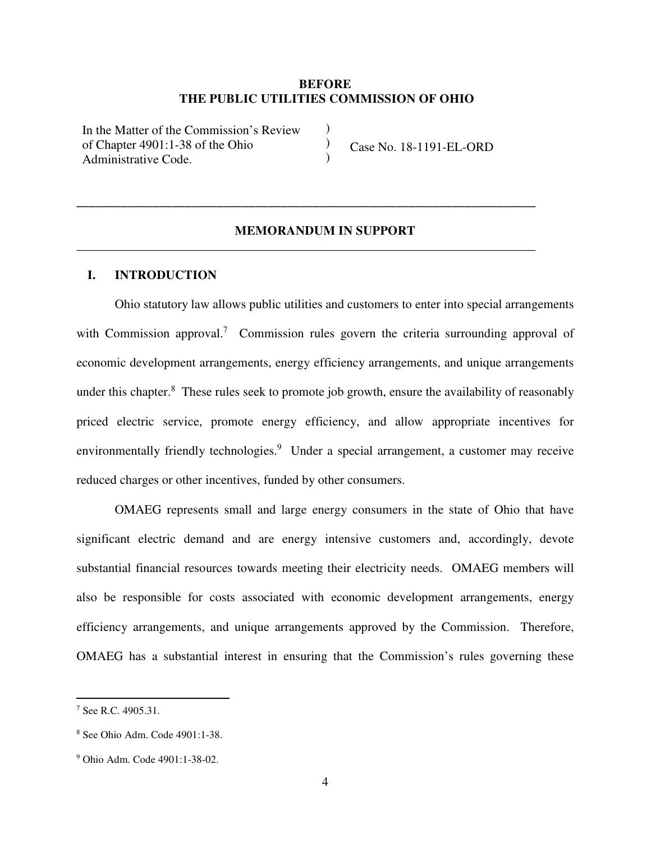## **BEFORE THE PUBLIC UTILITIES COMMISSION OF OHIO**

)  $\mathcal{L}$ )

In the Matter of the Commission's Review of Chapter 4901:1-38 of the Ohio Administrative Code.

Case No. 18-1191-EL-ORD

## **MEMORANDUM IN SUPPORT**

**\_\_\_\_\_\_\_\_\_\_\_\_\_\_\_\_\_\_\_\_\_\_\_\_\_\_\_\_\_\_\_\_\_\_\_\_\_\_\_\_\_\_\_\_\_\_\_\_\_\_\_\_\_\_\_\_\_\_\_\_\_\_\_\_\_\_\_\_\_\_\_\_** 

\_\_\_\_\_\_\_\_\_\_\_\_\_\_\_\_\_\_\_\_\_\_\_\_\_\_\_\_\_\_\_\_\_\_\_\_\_\_\_\_\_\_\_\_\_\_\_\_\_\_\_\_\_\_\_\_\_\_\_\_\_\_\_\_\_\_\_\_\_\_\_\_

## **I. INTRODUCTION**

Ohio statutory law allows public utilities and customers to enter into special arrangements with Commission approval.<sup>7</sup> Commission rules govern the criteria surrounding approval of economic development arrangements, energy efficiency arrangements, and unique arrangements under this chapter.<sup>8</sup> These rules seek to promote job growth, ensure the availability of reasonably priced electric service, promote energy efficiency, and allow appropriate incentives for environmentally friendly technologies.<sup>9</sup> Under a special arrangement, a customer may receive reduced charges or other incentives, funded by other consumers.

OMAEG represents small and large energy consumers in the state of Ohio that have significant electric demand and are energy intensive customers and, accordingly, devote substantial financial resources towards meeting their electricity needs. OMAEG members will also be responsible for costs associated with economic development arrangements, energy efficiency arrangements, and unique arrangements approved by the Commission. Therefore, OMAEG has a substantial interest in ensuring that the Commission's rules governing these

<sup>7</sup> See R.C. 4905.31.

<sup>8</sup> See Ohio Adm. Code 4901:1-38.

<sup>9</sup> Ohio Adm. Code 4901:1-38-02.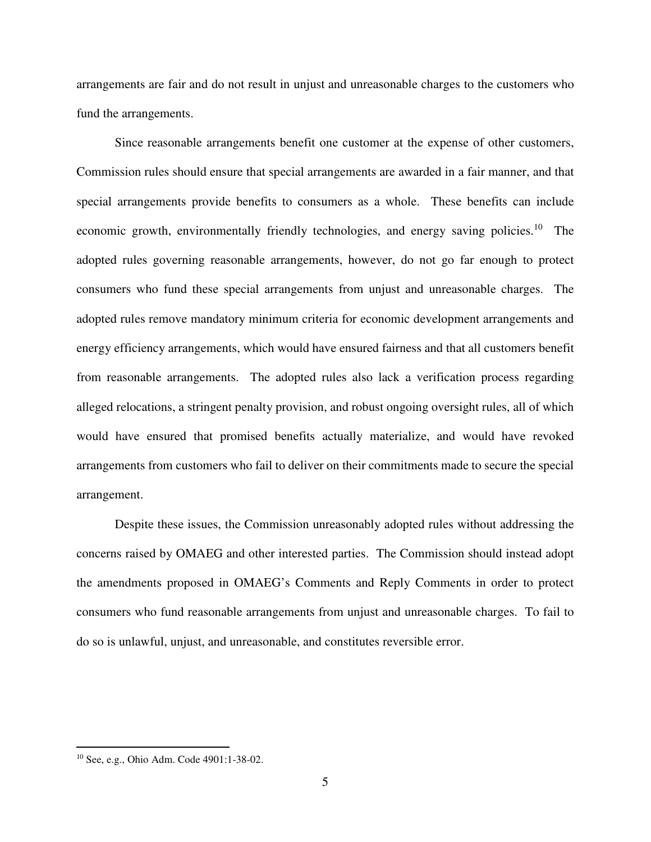arrangements are fair and do not result in unjust and unreasonable charges to the customers who fund the arrangements.

Since reasonable arrangements benefit one customer at the expense of other customers, Commission rules should ensure that special arrangements are awarded in a fair manner, and that special arrangements provide benefits to consumers as a whole. These benefits can include economic growth, environmentally friendly technologies, and energy saving policies.<sup>10</sup> The adopted rules governing reasonable arrangements, however, do not go far enough to protect consumers who fund these special arrangements from unjust and unreasonable charges. The adopted rules remove mandatory minimum criteria for economic development arrangements and energy efficiency arrangements, which would have ensured fairness and that all customers benefit from reasonable arrangements. The adopted rules also lack a verification process regarding alleged relocations, a stringent penalty provision, and robust ongoing oversight rules, all of which would have ensured that promised benefits actually materialize, and would have revoked arrangements from customers who fail to deliver on their commitments made to secure the special arrangement.

Despite these issues, the Commission unreasonably adopted rules without addressing the concerns raised by OMAEG and other interested parties. The Commission should instead adopt the amendments proposed in OMAEG's Comments and Reply Comments in order to protect consumers who fund reasonable arrangements from unjust and unreasonable charges. To fail to do so is unlawful, unjust, and unreasonable, and constitutes reversible error.

<sup>10</sup> See, e.g., Ohio Adm. Code 4901:1-38-02.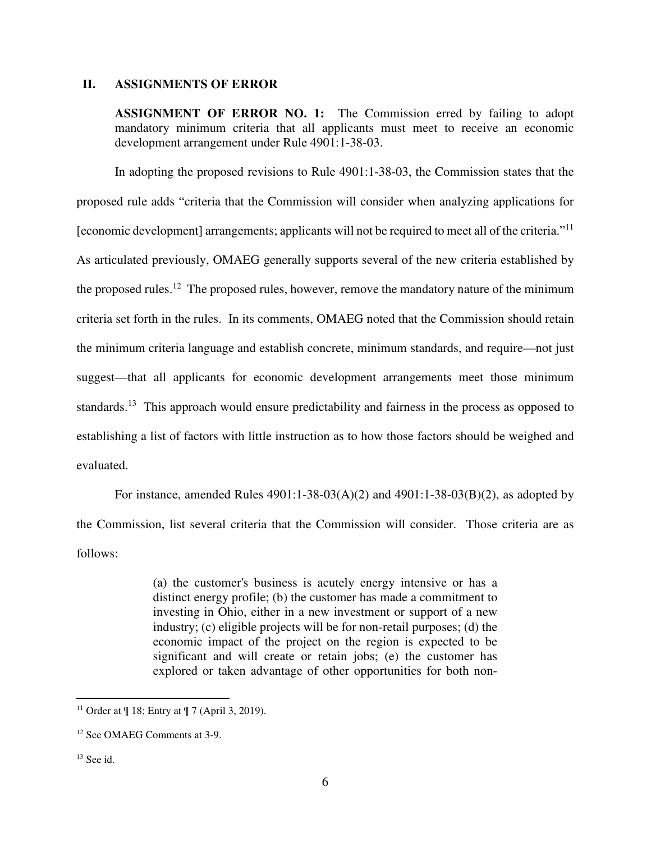#### **II. ASSIGNMENTS OF ERROR**

**ASSIGNMENT OF ERROR NO. 1:** The Commission erred by failing to adopt mandatory minimum criteria that all applicants must meet to receive an economic development arrangement under Rule 4901:1-38-03.

In adopting the proposed revisions to Rule 4901:1-38-03, the Commission states that the proposed rule adds "criteria that the Commission will consider when analyzing applications for [economic development] arrangements; applicants will not be required to meet all of the criteria."<sup>11</sup> As articulated previously, OMAEG generally supports several of the new criteria established by the proposed rules.<sup>12</sup> The proposed rules, however, remove the mandatory nature of the minimum criteria set forth in the rules. In its comments, OMAEG noted that the Commission should retain the minimum criteria language and establish concrete, minimum standards, and require—not just suggest—that all applicants for economic development arrangements meet those minimum standards.<sup>13</sup> This approach would ensure predictability and fairness in the process as opposed to establishing a list of factors with little instruction as to how those factors should be weighed and evaluated.

For instance, amended Rules 4901:1-38-03(A)(2) and 4901:1-38-03(B)(2), as adopted by the Commission, list several criteria that the Commission will consider. Those criteria are as follows:

> (a) the customer's business is acutely energy intensive or has a distinct energy profile; (b) the customer has made a commitment to investing in Ohio, either in a new investment or support of a new industry; (c) eligible projects will be for non-retail purposes; (d) the economic impact of the project on the region is expected to be significant and will create or retain jobs; (e) the customer has explored or taken advantage of other opportunities for both non-

<u>.</u>

<sup>&</sup>lt;sup>11</sup> Order at  $\P$  18; Entry at  $\P$  7 (April 3, 2019).

<sup>12</sup> See OMAEG Comments at 3-9.

 $13$  See id.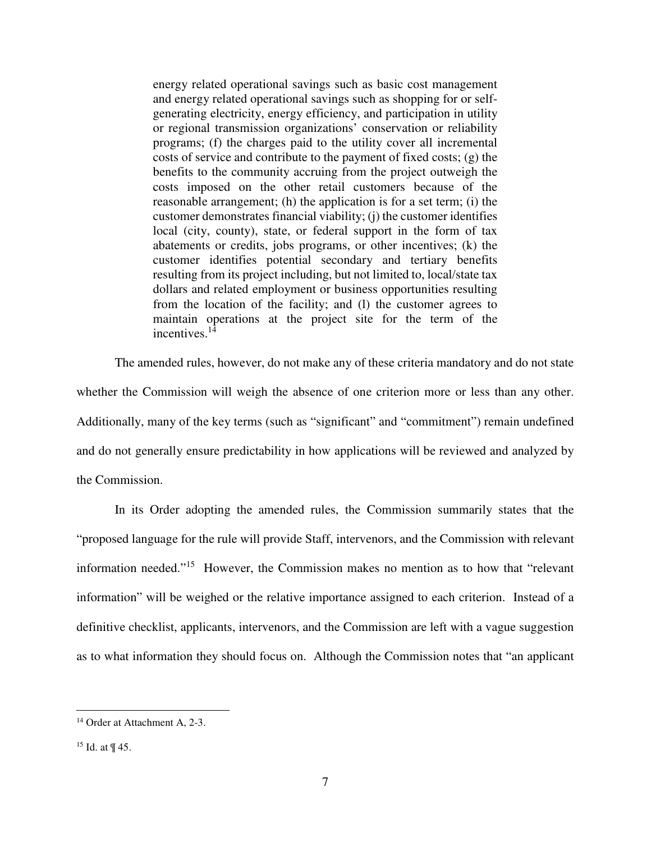energy related operational savings such as basic cost management and energy related operational savings such as shopping for or selfgenerating electricity, energy efficiency, and participation in utility or regional transmission organizations' conservation or reliability programs; (f) the charges paid to the utility cover all incremental costs of service and contribute to the payment of fixed costs; (g) the benefits to the community accruing from the project outweigh the costs imposed on the other retail customers because of the reasonable arrangement; (h) the application is for a set term; (i) the customer demonstrates financial viability; (j) the customer identifies local (city, county), state, or federal support in the form of tax abatements or credits, jobs programs, or other incentives; (k) the customer identifies potential secondary and tertiary benefits resulting from its project including, but not limited to, local/state tax dollars and related employment or business opportunities resulting from the location of the facility; and (l) the customer agrees to maintain operations at the project site for the term of the incentives. $1\overline{4}$ 

The amended rules, however, do not make any of these criteria mandatory and do not state whether the Commission will weigh the absence of one criterion more or less than any other. Additionally, many of the key terms (such as "significant" and "commitment") remain undefined and do not generally ensure predictability in how applications will be reviewed and analyzed by the Commission.

In its Order adopting the amended rules, the Commission summarily states that the "proposed language for the rule will provide Staff, intervenors, and the Commission with relevant information needed."<sup>15</sup> However, the Commission makes no mention as to how that "relevant information" will be weighed or the relative importance assigned to each criterion. Instead of a definitive checklist, applicants, intervenors, and the Commission are left with a vague suggestion as to what information they should focus on. Although the Commission notes that "an applicant

<sup>&</sup>lt;sup>14</sup> Order at Attachment A, 2-3.

<sup>15</sup> Id. at ¶ 45.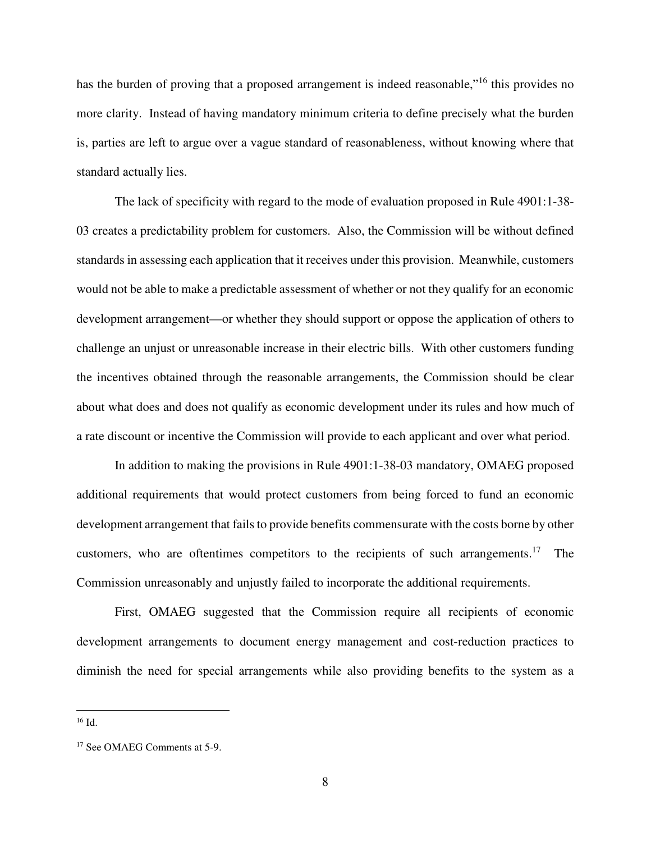has the burden of proving that a proposed arrangement is indeed reasonable,"<sup>16</sup> this provides no more clarity. Instead of having mandatory minimum criteria to define precisely what the burden is, parties are left to argue over a vague standard of reasonableness, without knowing where that standard actually lies.

The lack of specificity with regard to the mode of evaluation proposed in Rule 4901:1-38- 03 creates a predictability problem for customers. Also, the Commission will be without defined standards in assessing each application that it receives under this provision. Meanwhile, customers would not be able to make a predictable assessment of whether or not they qualify for an economic development arrangement—or whether they should support or oppose the application of others to challenge an unjust or unreasonable increase in their electric bills. With other customers funding the incentives obtained through the reasonable arrangements, the Commission should be clear about what does and does not qualify as economic development under its rules and how much of a rate discount or incentive the Commission will provide to each applicant and over what period.

In addition to making the provisions in Rule 4901:1-38-03 mandatory, OMAEG proposed additional requirements that would protect customers from being forced to fund an economic development arrangement that fails to provide benefits commensurate with the costs borne by other customers, who are oftentimes competitors to the recipients of such arrangements.<sup>17</sup> The Commission unreasonably and unjustly failed to incorporate the additional requirements.

First, OMAEG suggested that the Commission require all recipients of economic development arrangements to document energy management and cost-reduction practices to diminish the need for special arrangements while also providing benefits to the system as a

<sup>-</sup> $^{16}$  Id.

<sup>17</sup> See OMAEG Comments at 5-9.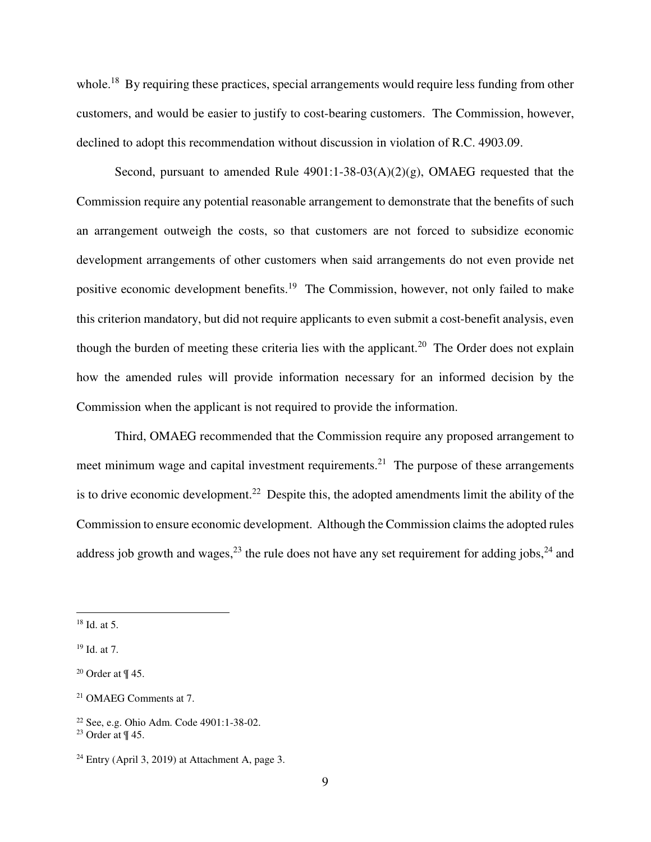whole.<sup>18</sup> By requiring these practices, special arrangements would require less funding from other customers, and would be easier to justify to cost-bearing customers. The Commission, however, declined to adopt this recommendation without discussion in violation of R.C. 4903.09.

Second, pursuant to amended Rule  $4901:1-38-03(A)(2)(g)$ , OMAEG requested that the Commission require any potential reasonable arrangement to demonstrate that the benefits of such an arrangement outweigh the costs, so that customers are not forced to subsidize economic development arrangements of other customers when said arrangements do not even provide net positive economic development benefits.<sup>19</sup> The Commission, however, not only failed to make this criterion mandatory, but did not require applicants to even submit a cost-benefit analysis, even though the burden of meeting these criteria lies with the applicant.<sup>20</sup> The Order does not explain how the amended rules will provide information necessary for an informed decision by the Commission when the applicant is not required to provide the information.

Third, OMAEG recommended that the Commission require any proposed arrangement to meet minimum wage and capital investment requirements.<sup>21</sup> The purpose of these arrangements is to drive economic development.<sup>22</sup> Despite this, the adopted amendments limit the ability of the Commission to ensure economic development. Although the Commission claims the adopted rules address job growth and wages,  $^{23}$  the rule does not have any set requirement for adding jobs,  $^{24}$  and

 $18$  Id. at 5.

<sup>19</sup> Id. at 7.

 $20$  Order at  $\P$  45.

<sup>21</sup> OMAEG Comments at 7.

<sup>22</sup> See, e.g. Ohio Adm. Code 4901:1-38-02.

<sup>&</sup>lt;sup>23</sup> Order at  $\P$  45.

 $24$  Entry (April 3, 2019) at Attachment A, page 3.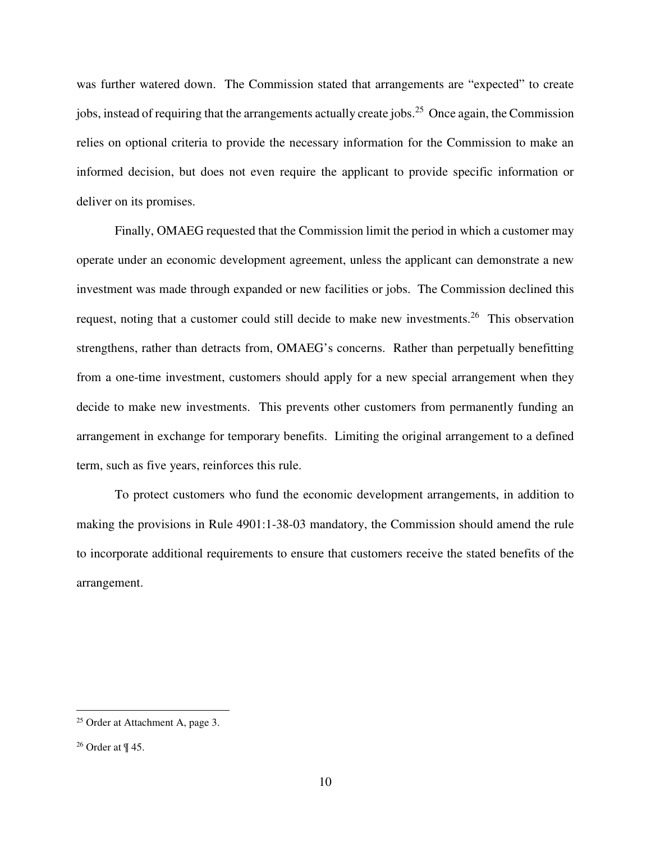was further watered down. The Commission stated that arrangements are "expected" to create jobs, instead of requiring that the arrangements actually create jobs.<sup>25</sup> Once again, the Commission relies on optional criteria to provide the necessary information for the Commission to make an informed decision, but does not even require the applicant to provide specific information or deliver on its promises.

Finally, OMAEG requested that the Commission limit the period in which a customer may operate under an economic development agreement, unless the applicant can demonstrate a new investment was made through expanded or new facilities or jobs. The Commission declined this request, noting that a customer could still decide to make new investments.<sup>26</sup> This observation strengthens, rather than detracts from, OMAEG's concerns. Rather than perpetually benefitting from a one-time investment, customers should apply for a new special arrangement when they decide to make new investments. This prevents other customers from permanently funding an arrangement in exchange for temporary benefits. Limiting the original arrangement to a defined term, such as five years, reinforces this rule.

To protect customers who fund the economic development arrangements, in addition to making the provisions in Rule 4901:1-38-03 mandatory, the Commission should amend the rule to incorporate additional requirements to ensure that customers receive the stated benefits of the arrangement.

<sup>&</sup>lt;sup>25</sup> Order at Attachment A, page 3.

<sup>&</sup>lt;sup>26</sup> Order at  $\P$  45.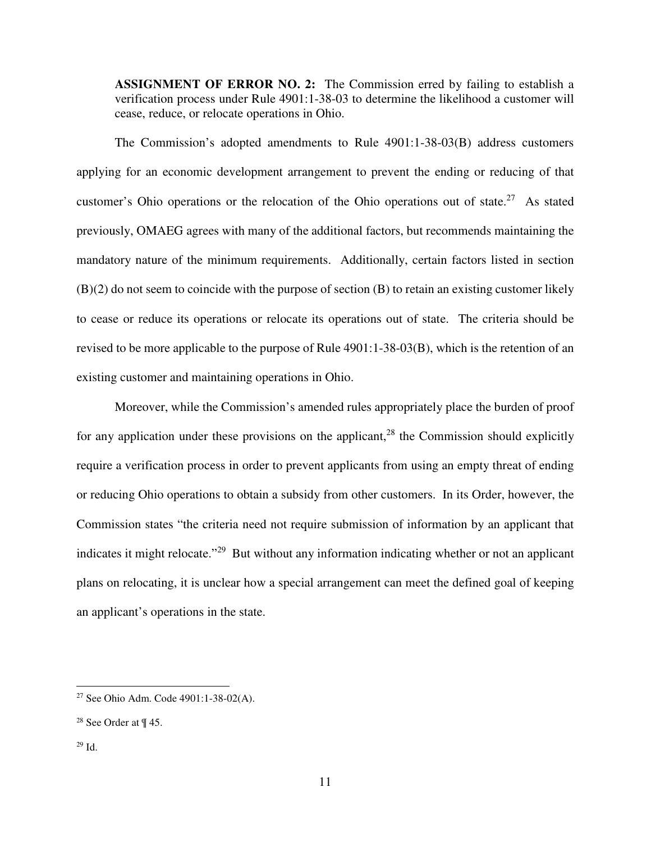**ASSIGNMENT OF ERROR NO. 2:** The Commission erred by failing to establish a verification process under Rule 4901:1-38-03 to determine the likelihood a customer will cease, reduce, or relocate operations in Ohio.

The Commission's adopted amendments to Rule 4901:1-38-03(B) address customers applying for an economic development arrangement to prevent the ending or reducing of that customer's Ohio operations or the relocation of the Ohio operations out of state.<sup>27</sup> As stated previously, OMAEG agrees with many of the additional factors, but recommends maintaining the mandatory nature of the minimum requirements. Additionally, certain factors listed in section (B)(2) do not seem to coincide with the purpose of section (B) to retain an existing customer likely to cease or reduce its operations or relocate its operations out of state. The criteria should be revised to be more applicable to the purpose of Rule 4901:1-38-03(B), which is the retention of an existing customer and maintaining operations in Ohio.

Moreover, while the Commission's amended rules appropriately place the burden of proof for any application under these provisions on the applicant,<sup>28</sup> the Commission should explicitly require a verification process in order to prevent applicants from using an empty threat of ending or reducing Ohio operations to obtain a subsidy from other customers. In its Order, however, the Commission states "the criteria need not require submission of information by an applicant that indicates it might relocate."<sup>29</sup> But without any information indicating whether or not an applicant plans on relocating, it is unclear how a special arrangement can meet the defined goal of keeping an applicant's operations in the state.

<sup>27</sup> See Ohio Adm. Code 4901:1-38-02(A).

<sup>&</sup>lt;sup>28</sup> See Order at  $\P$  45.

 $29$  Id.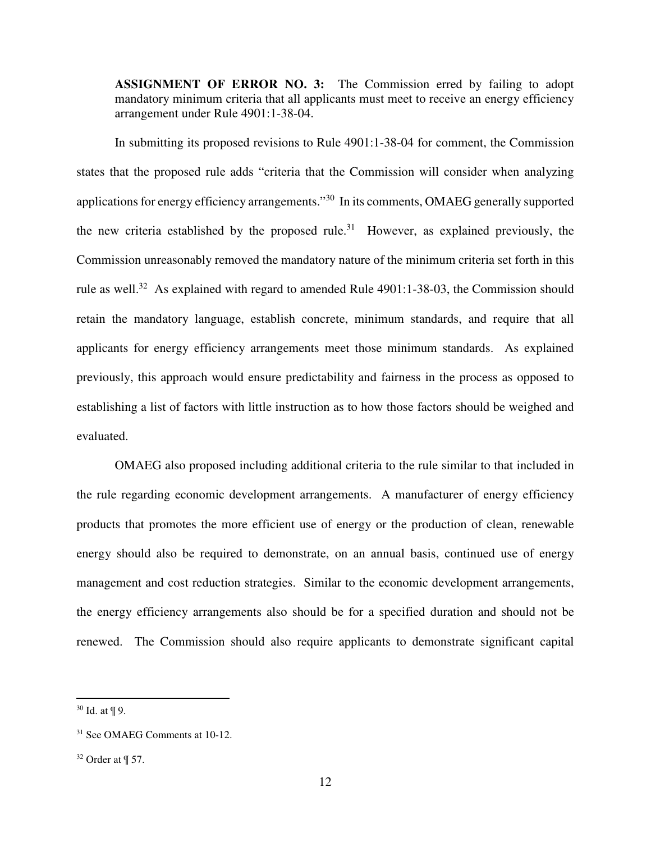**ASSIGNMENT OF ERROR NO. 3:** The Commission erred by failing to adopt mandatory minimum criteria that all applicants must meet to receive an energy efficiency arrangement under Rule 4901:1-38-04.

In submitting its proposed revisions to Rule 4901:1-38-04 for comment, the Commission states that the proposed rule adds "criteria that the Commission will consider when analyzing applications for energy efficiency arrangements."<sup>30</sup> In its comments, OMAEG generally supported the new criteria established by the proposed rule.<sup>31</sup> However, as explained previously, the Commission unreasonably removed the mandatory nature of the minimum criteria set forth in this rule as well.<sup>32</sup> As explained with regard to amended Rule 4901:1-38-03, the Commission should retain the mandatory language, establish concrete, minimum standards, and require that all applicants for energy efficiency arrangements meet those minimum standards. As explained previously, this approach would ensure predictability and fairness in the process as opposed to establishing a list of factors with little instruction as to how those factors should be weighed and evaluated.

OMAEG also proposed including additional criteria to the rule similar to that included in the rule regarding economic development arrangements. A manufacturer of energy efficiency products that promotes the more efficient use of energy or the production of clean, renewable energy should also be required to demonstrate, on an annual basis, continued use of energy management and cost reduction strategies. Similar to the economic development arrangements, the energy efficiency arrangements also should be for a specified duration and should not be renewed. The Commission should also require applicants to demonstrate significant capital

<u>.</u>

<sup>30</sup> Id. at ¶ 9.

<sup>31</sup> See OMAEG Comments at 10-12.

 $32$  Order at  $\P$  57.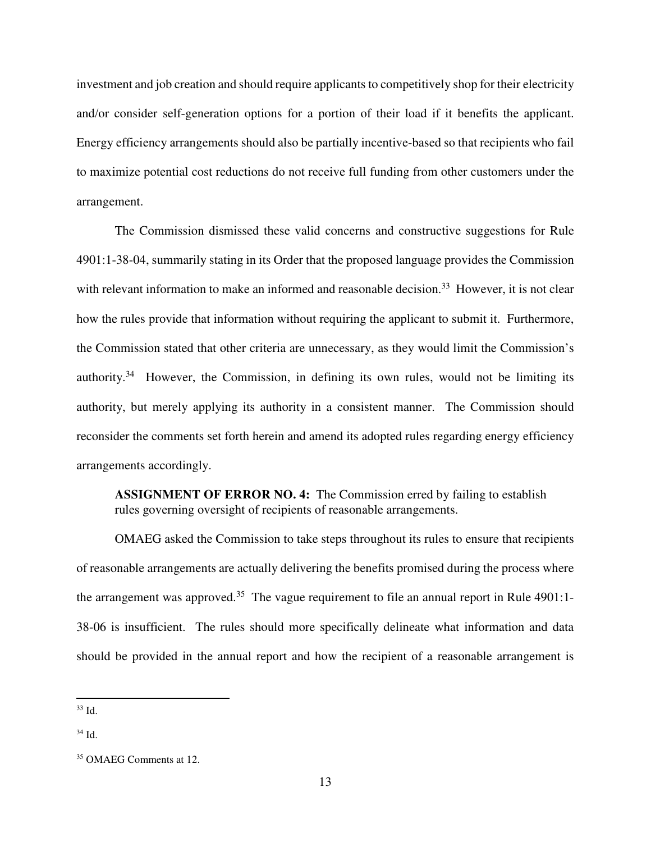investment and job creation and should require applicants to competitively shop for their electricity and/or consider self-generation options for a portion of their load if it benefits the applicant. Energy efficiency arrangements should also be partially incentive-based so that recipients who fail to maximize potential cost reductions do not receive full funding from other customers under the arrangement.

The Commission dismissed these valid concerns and constructive suggestions for Rule 4901:1-38-04, summarily stating in its Order that the proposed language provides the Commission with relevant information to make an informed and reasonable decision.<sup>33</sup> However, it is not clear how the rules provide that information without requiring the applicant to submit it. Furthermore, the Commission stated that other criteria are unnecessary, as they would limit the Commission's authority.<sup>34</sup> However, the Commission, in defining its own rules, would not be limiting its authority, but merely applying its authority in a consistent manner. The Commission should reconsider the comments set forth herein and amend its adopted rules regarding energy efficiency arrangements accordingly.

**ASSIGNMENT OF ERROR NO. 4:** The Commission erred by failing to establish rules governing oversight of recipients of reasonable arrangements.

OMAEG asked the Commission to take steps throughout its rules to ensure that recipients of reasonable arrangements are actually delivering the benefits promised during the process where the arrangement was approved.<sup>35</sup> The vague requirement to file an annual report in Rule 4901:1-38-06 is insufficient. The rules should more specifically delineate what information and data should be provided in the annual report and how the recipient of a reasonable arrangement is

 $33$  Id.

<sup>34</sup> Id.

<sup>&</sup>lt;sup>35</sup> OMAEG Comments at 12.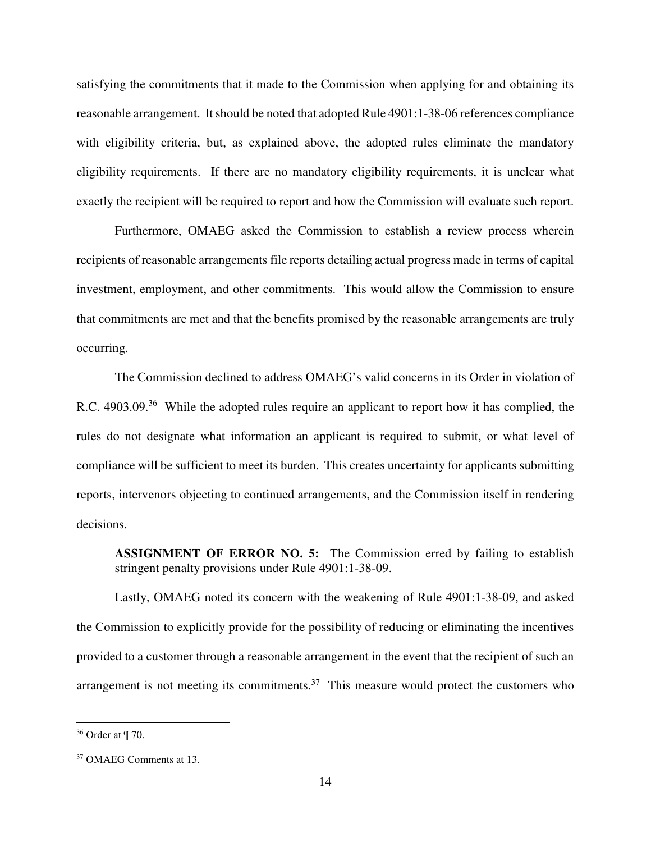satisfying the commitments that it made to the Commission when applying for and obtaining its reasonable arrangement. It should be noted that adopted Rule 4901:1-38-06 references compliance with eligibility criteria, but, as explained above, the adopted rules eliminate the mandatory eligibility requirements. If there are no mandatory eligibility requirements, it is unclear what exactly the recipient will be required to report and how the Commission will evaluate such report.

Furthermore, OMAEG asked the Commission to establish a review process wherein recipients of reasonable arrangements file reports detailing actual progress made in terms of capital investment, employment, and other commitments. This would allow the Commission to ensure that commitments are met and that the benefits promised by the reasonable arrangements are truly occurring.

The Commission declined to address OMAEG's valid concerns in its Order in violation of R.C. 4903.09.<sup>36</sup> While the adopted rules require an applicant to report how it has complied, the rules do not designate what information an applicant is required to submit, or what level of compliance will be sufficient to meet its burden. This creates uncertainty for applicants submitting reports, intervenors objecting to continued arrangements, and the Commission itself in rendering decisions.

**ASSIGNMENT OF ERROR NO. 5:** The Commission erred by failing to establish stringent penalty provisions under Rule 4901:1-38-09.

Lastly, OMAEG noted its concern with the weakening of Rule 4901:1-38-09, and asked the Commission to explicitly provide for the possibility of reducing or eliminating the incentives provided to a customer through a reasonable arrangement in the event that the recipient of such an arrangement is not meeting its commitments. $37$  This measure would protect the customers who

<sup>36</sup> Order at ¶ 70.

<sup>&</sup>lt;sup>37</sup> OMAEG Comments at 13.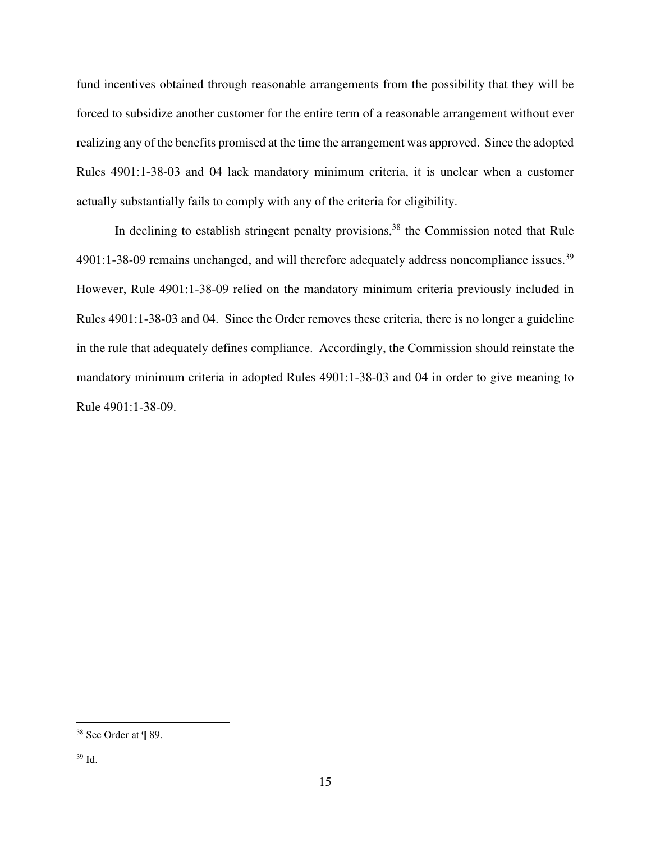fund incentives obtained through reasonable arrangements from the possibility that they will be forced to subsidize another customer for the entire term of a reasonable arrangement without ever realizing any of the benefits promised at the time the arrangement was approved. Since the adopted Rules 4901:1-38-03 and 04 lack mandatory minimum criteria, it is unclear when a customer actually substantially fails to comply with any of the criteria for eligibility.

In declining to establish stringent penalty provisions,  $38$  the Commission noted that Rule  $4901:1-38-09$  remains unchanged, and will therefore adequately address noncompliance issues.<sup>39</sup> However, Rule 4901:1-38-09 relied on the mandatory minimum criteria previously included in Rules 4901:1-38-03 and 04. Since the Order removes these criteria, there is no longer a guideline in the rule that adequately defines compliance. Accordingly, the Commission should reinstate the mandatory minimum criteria in adopted Rules 4901:1-38-03 and 04 in order to give meaning to Rule 4901:1-38-09.

-

<sup>38</sup> See Order at ¶ 89.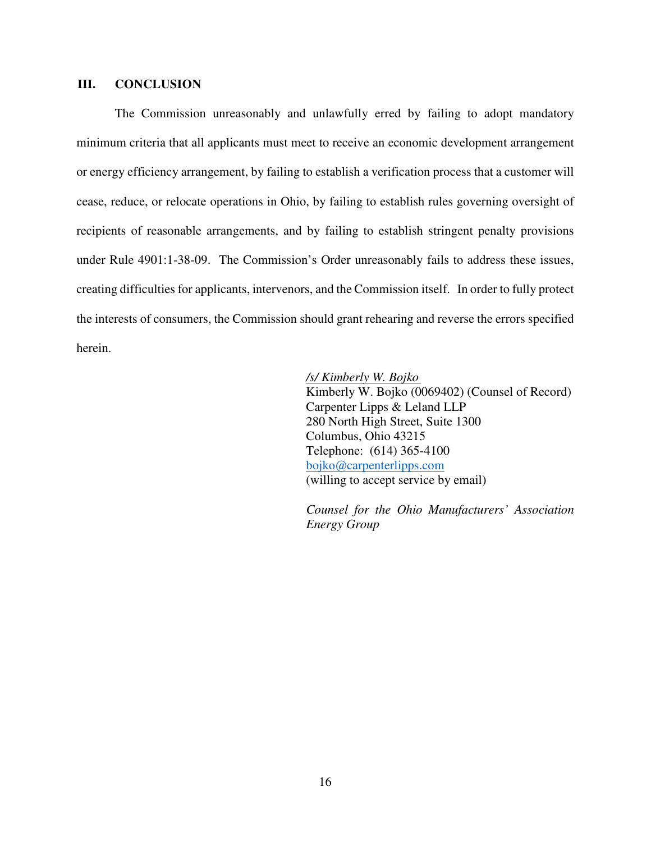## **III. CONCLUSION**

The Commission unreasonably and unlawfully erred by failing to adopt mandatory minimum criteria that all applicants must meet to receive an economic development arrangement or energy efficiency arrangement, by failing to establish a verification process that a customer will cease, reduce, or relocate operations in Ohio, by failing to establish rules governing oversight of recipients of reasonable arrangements, and by failing to establish stringent penalty provisions under Rule 4901:1-38-09. The Commission's Order unreasonably fails to address these issues, creating difficulties for applicants, intervenors, and the Commission itself. In order to fully protect the interests of consumers, the Commission should grant rehearing and reverse the errors specified herein.

*/s/ Kimberly W. Bojko* 

Kimberly W. Bojko (0069402) (Counsel of Record) Carpenter Lipps & Leland LLP 280 North High Street, Suite 1300 Columbus, Ohio 43215 Telephone: (614) 365-4100 bojko@carpenterlipps.com (willing to accept service by email)

*Counsel for the Ohio Manufacturers' Association Energy Group*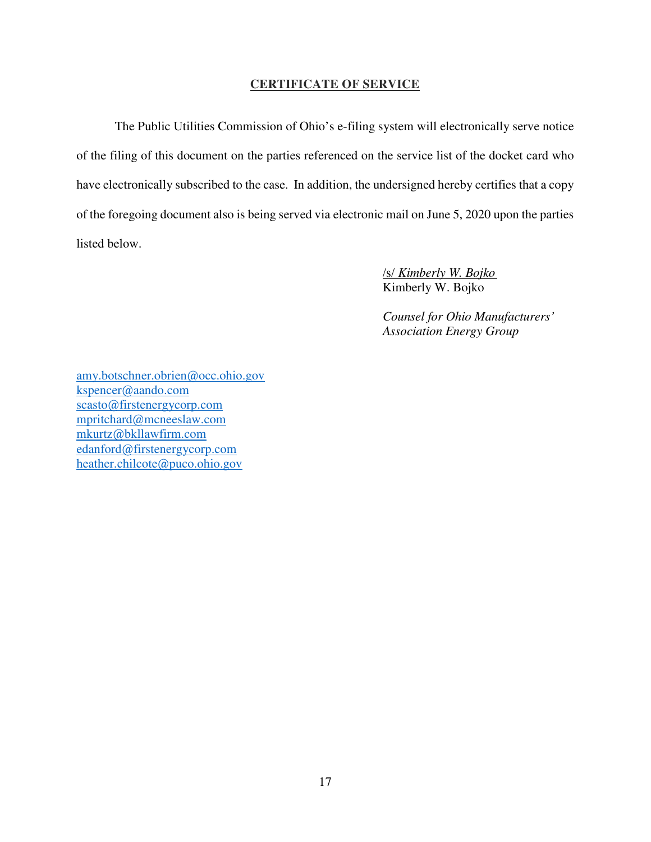## **CERTIFICATE OF SERVICE**

 The Public Utilities Commission of Ohio's e-filing system will electronically serve notice of the filing of this document on the parties referenced on the service list of the docket card who have electronically subscribed to the case. In addition, the undersigned hereby certifies that a copy of the foregoing document also is being served via electronic mail on June 5, 2020 upon the parties listed below.

> /s/ *Kimberly W. Bojko* Kimberly W. Bojko

*Counsel for Ohio Manufacturers' Association Energy Group*

amy.botschner.obrien@occ.ohio.gov kspencer@aando.com scasto@firstenergycorp.com mpritchard@mcneeslaw.com mkurtz@bkllawfirm.com edanford@firstenergycorp.com heather.chilcote@puco.ohio.gov